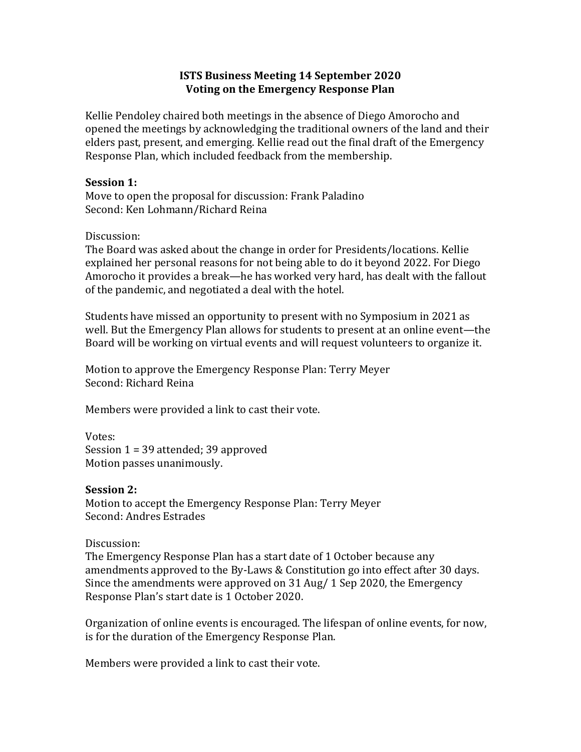# **ISTS Business Meeting 14 September 2020 Voting on the Emergency Response Plan**

Kellie Pendoley chaired both meetings in the absence of Diego Amorocho and opened the meetings by acknowledging the traditional owners of the land and their elders past, present, and emerging. Kellie read out the final draft of the Emergency Response Plan, which included feedback from the membership.

### **Session 1:**

Move to open the proposal for discussion: Frank Paladino Second: Ken Lohmann/Richard Reina

## Discussion:

The Board was asked about the change in order for Presidents/locations. Kellie explained her personal reasons for not being able to do it beyond 2022. For Diego Amorocho it provides a break—he has worked very hard, has dealt with the fallout of the pandemic, and negotiated a deal with the hotel.

Students have missed an opportunity to present with no Symposium in 2021 as well. But the Emergency Plan allows for students to present at an online event—the Board will be working on virtual events and will request volunteers to organize it.

Motion to approve the Emergency Response Plan: Terry Meyer Second: Richard Reina

Members were provided a link to cast their vote.

Votes: Session  $1 = 39$  attended;  $39$  approved Motion passes unanimously.

## **Session 2:**

Motion to accept the Emergency Response Plan: Terry Meyer Second: Andres Estrades

#### Discussion:

The Emergency Response Plan has a start date of 1 October because any amendments approved to the By-Laws & Constitution go into effect after 30 days. Since the amendments were approved on  $31$  Aug/  $1$  Sep 2020, the Emergency Response Plan's start date is 1 October 2020.

Organization of online events is encouraged. The lifespan of online events, for now, is for the duration of the Emergency Response Plan.

Members were provided a link to cast their vote.